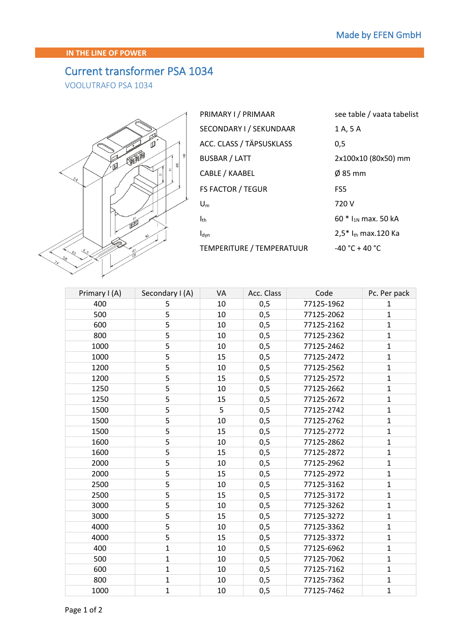## **IN THE LINE OF POWER**

## Current transformer PSA 1034

VOOLUTRAFO PSA 1034



| PRIMARY I / PRIMAAR       | see table / vaata tabelist |
|---------------------------|----------------------------|
| SECONDARY I / SEKUNDAAR   | 1 A, 5 A                   |
| ACC. CLASS / TÄPSUSKLASS  | 0,5                        |
| <b>BUSBAR / LATT</b>      | 2x100x10 (80x50) mm        |
| CABLE / KAABEL            | $\varnothing$ 85 mm        |
| <b>FS FACTOR / TEGUR</b>  | FS <sub>5</sub>            |
| $U_m$                     | 720 V                      |
| $I_{th}$                  | 60 $*$ $I_{1N}$ max. 50 kA |
| $I_{dyn}$                 | $2.5*$ $I_{th}$ max.120 Ka |
| TEMPERITURE / TEMPERATUUR | $-40 °C + 40 °C$           |

| Primary I (A) | Secondary I (A) | VA | Acc. Class | Code       | Pc. Per pack |
|---------------|-----------------|----|------------|------------|--------------|
| 400           | 5               | 10 | 0,5        | 77125-1962 | $\mathbf{1}$ |
| 500           | 5               | 10 | 0,5        | 77125-2062 | $\mathbf{1}$ |
| 600           | 5               | 10 | 0,5        | 77125-2162 | $\mathbf{1}$ |
| 800           | 5               | 10 | 0,5        | 77125-2362 | $\mathbf{1}$ |
| 1000          | 5               | 10 | 0,5        | 77125-2462 | $\mathbf{1}$ |
| 1000          | 5               | 15 | 0,5        | 77125-2472 | $\mathbf{1}$ |
| 1200          | 5               | 10 | 0,5        | 77125-2562 | $\mathbf{1}$ |
| 1200          | 5               | 15 | 0,5        | 77125-2572 | $\mathbf{1}$ |
| 1250          | 5               | 10 | 0,5        | 77125-2662 | $\mathbf{1}$ |
| 1250          | 5               | 15 | 0,5        | 77125-2672 | $\mathbf{1}$ |
| 1500          | 5               | 5  | 0,5        | 77125-2742 | $\mathbf{1}$ |
| 1500          | 5               | 10 | 0,5        | 77125-2762 | $\mathbf{1}$ |
| 1500          | 5               | 15 | 0,5        | 77125-2772 | $\mathbf{1}$ |
| 1600          | 5               | 10 | 0,5        | 77125-2862 | $\mathbf{1}$ |
| 1600          | 5               | 15 | 0,5        | 77125-2872 | $\mathbf{1}$ |
| 2000          | 5               | 10 | 0,5        | 77125-2962 | $\mathbf{1}$ |
| 2000          | 5               | 15 | 0,5        | 77125-2972 | $\mathbf{1}$ |
| 2500          | 5               | 10 | 0,5        | 77125-3162 | $\mathbf{1}$ |
| 2500          | 5               | 15 | 0,5        | 77125-3172 | $\mathbf{1}$ |
| 3000          | 5               | 10 | 0,5        | 77125-3262 | $\mathbf{1}$ |
| 3000          | 5               | 15 | 0,5        | 77125-3272 | $\mathbf{1}$ |
| 4000          | 5               | 10 | 0,5        | 77125-3362 | $\mathbf{1}$ |
| 4000          | 5               | 15 | 0,5        | 77125-3372 | $\mathbf{1}$ |
| 400           | $\mathbf{1}$    | 10 | 0,5        | 77125-6962 | $\mathbf{1}$ |
| 500           | $\mathbf{1}$    | 10 | 0,5        | 77125-7062 | $\mathbf{1}$ |
| 600           | $\mathbf{1}$    | 10 | 0,5        | 77125-7162 | $\mathbf{1}$ |
| 800           | $\mathbf{1}$    | 10 | 0,5        | 77125-7362 | $\mathbf{1}$ |
| 1000          | $\mathbf{1}$    | 10 | 0,5        | 77125-7462 | $\mathbf{1}$ |